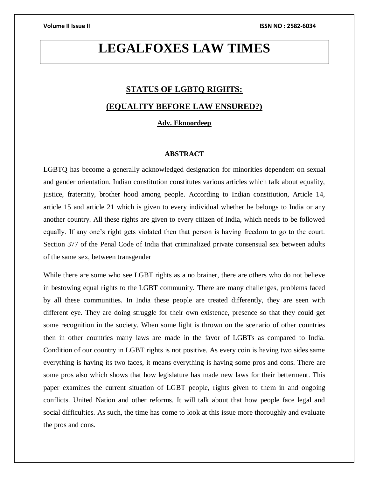## **LEGALFOXES LAW TIMES**

# **STATUS OF LGBTQ RIGHTS:**

### **(EQUALITY BEFORE LAW ENSURED?)**

### **Adv. Eknoordeep**

### **ABSTRACT**

LGBTQ has become a generally acknowledged designation for minorities dependent on sexual and gender orientation. Indian constitution constitutes various articles which talk about equality, justice, fraternity, brother hood among people. According to Indian constitution, Article 14, article 15 and article 21 which is given to every individual whether he belongs to India or any another country. All these rights are given to every citizen of India, which needs to be followed equally. If any one's right gets violated then that person is having freedom to go to the court. Section 377 of the Penal Code of India that criminalized private consensual sex between adults of the same sex, between transgender

While there are some who see LGBT rights as a no brainer, there are others who do not believe in bestowing equal rights to the LGBT community. There are many challenges, problems faced by all these communities. In India these people are treated differently, they are seen with different eye. They are doing struggle for their own existence, presence so that they could get some recognition in the society. When some light is thrown on the scenario of other countries then in other countries many laws are made in the favor of LGBTs as compared to India. Condition of our country in LGBT rights is not positive. As every coin is having two sides same everything is having its two faces, it means everything is having some pros and cons. There are some pros also which shows that how legislature has made new laws for their betterment. This paper examines the current situation of LGBT people, rights given to them in and ongoing conflicts. United Nation and other reforms. It will talk about that how people face legal and social difficulties. As such, the time has come to look at this issue more thoroughly and evaluate the pros and cons.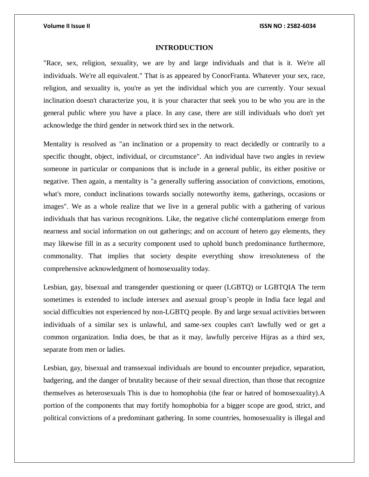### **INTRODUCTION**

"Race, sex, religion, sexuality, we are by and large individuals and that is it. We're all individuals. We're all equivalent." That is as appeared by ConorFranta. Whatever your sex, race, religion, and sexuality is, you're as yet the individual which you are currently. Your sexual inclination doesn't characterize you, it is your character that seek you to be who you are in the general public where you have a place. In any case, there are still individuals who don't yet acknowledge the third gender in network third sex in the network.

Mentality is resolved as "an inclination or a propensity to react decidedly or contrarily to a specific thought, object, individual, or circumstance". An individual have two angles in review someone in particular or companions that is include in a general public, its either positive or negative. Then again, a mentality is "a generally suffering association of convictions, emotions, what's more, conduct inclinations towards socially noteworthy items, gatherings, occasions or images". We as a whole realize that we live in a general public with a gathering of various individuals that has various recognitions. Like, the negative cliché contemplations emerge from nearness and social information on out gatherings; and on account of hetero gay elements, they may likewise fill in as a security component used to uphold bunch predominance furthermore, commonality. That implies that society despite everything show irresoluteness of the comprehensive acknowledgment of homosexuality today.

Lesbian, gay, bisexual and transgender questioning or queer (LGBTQ) or LGBTQIA The term sometimes is extended to include intersex and asexual group's people in India face legal and social difficulties not experienced by non-LGBTQ people. By and large sexual activities between individuals of a similar sex is unlawful, and same-sex couples can't lawfully wed or get a common organization. India does, be that as it may, lawfully perceive Hijras as a third sex, separate from men or ladies.

Lesbian, gay, bisexual and transsexual individuals are bound to encounter prejudice, separation, badgering, and the danger of brutality because of their sexual direction, than those that recognize themselves as heterosexuals This is due to homophobia (the fear or hatred of homosexuality).A portion of the components that may fortify homophobia for a bigger scope are good, strict, and political convictions of a predominant gathering. In some countries, homosexuality is illegal and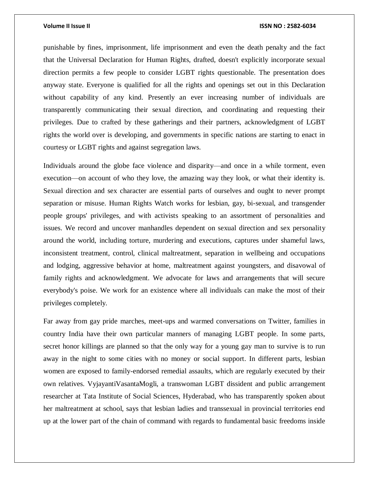punishable by fines, imprisonment, life imprisonment and even the death penalty and the fact that the Universal Declaration for Human Rights, drafted, doesn't explicitly incorporate sexual direction permits a few people to consider LGBT rights questionable. The presentation does anyway state. Everyone is qualified for all the rights and openings set out in this Declaration without capability of any kind. Presently an ever increasing number of individuals are transparently communicating their sexual direction, and coordinating and requesting their privileges. Due to crafted by these gatherings and their partners, acknowledgment of LGBT rights the world over is developing, and governments in specific nations are starting to enact in courtesy or LGBT rights and against segregation laws.

Individuals around the globe face violence and disparity—and once in a while torment, even execution—on account of who they love, the amazing way they look, or what their identity is. Sexual direction and sex character are essential parts of ourselves and ought to never prompt separation or misuse. Human Rights Watch works for lesbian, gay, bi-sexual, and transgender people groups' privileges, and with activists speaking to an assortment of personalities and issues. We record and uncover manhandles dependent on sexual direction and sex personality around the world, including torture, murdering and executions, captures under shameful laws, inconsistent treatment, control, clinical maltreatment, separation in wellbeing and occupations and lodging, aggressive behavior at home, maltreatment against youngsters, and disavowal of family rights and acknowledgment. We advocate for laws and arrangements that will secure everybody's poise. We work for an existence where all individuals can make the most of their privileges completely.

Far away from gay pride marches, meet-ups and warmed conversations on Twitter, families in country India have their own particular manners of managing LGBT people. In some parts, secret honor killings are planned so that the only way for a young gay man to survive is to run away in the night to some cities with no money or social support. In different parts, lesbian women are exposed to family-endorsed remedial assaults, which are regularly executed by their own relatives. VyjayantiVasantaMogli, a transwoman LGBT dissident and public arrangement researcher at Tata Institute of Social Sciences, Hyderabad, who has transparently spoken about her maltreatment at school, says that lesbian ladies and transsexual in provincial territories end up at the lower part of the chain of command with regards to fundamental basic freedoms inside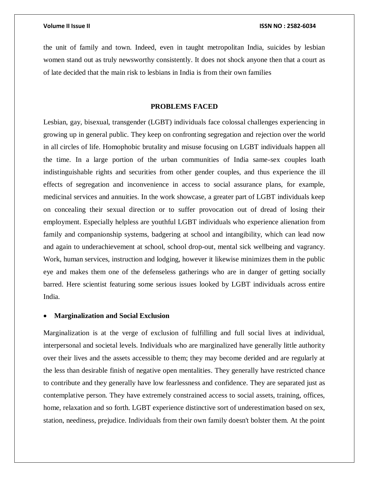the unit of family and town. Indeed, even in taught metropolitan India, suicides by lesbian women stand out as truly newsworthy consistently. It does not shock anyone then that a court as of late decided that the main risk to lesbians in India is from their own families

### **PROBLEMS FACED**

Lesbian, gay, bisexual, transgender (LGBT) individuals face colossal challenges experiencing in growing up in general public. They keep on confronting segregation and rejection over the world in all circles of life. Homophobic brutality and misuse focusing on LGBT individuals happen all the time. In a large portion of the urban communities of India same-sex couples loath indistinguishable rights and securities from other gender couples, and thus experience the ill effects of segregation and inconvenience in access to social assurance plans, for example, medicinal services and annuities. In the work showcase, a greater part of LGBT individuals keep on concealing their sexual direction or to suffer provocation out of dread of losing their employment. Especially helpless are youthful LGBT individuals who experience alienation from family and companionship systems, badgering at school and intangibility, which can lead now and again to underachievement at school, school drop-out, mental sick wellbeing and vagrancy. Work, human services, instruction and lodging, however it likewise minimizes them in the public eye and makes them one of the defenseless gatherings who are in danger of getting socially barred. Here scientist featuring some serious issues looked by LGBT individuals across entire India.

### **Marginalization and Social Exclusion**

Marginalization is at the verge of exclusion of fulfilling and full social lives at individual, interpersonal and societal levels. Individuals who are marginalized have generally little authority over their lives and the assets accessible to them; they may become derided and are regularly at the less than desirable finish of negative open mentalities. They generally have restricted chance to contribute and they generally have low fearlessness and confidence. They are separated just as contemplative person. They have extremely constrained access to social assets, training, offices, home, relaxation and so forth. LGBT experience distinctive sort of underestimation based on sex, station, neediness, prejudice. Individuals from their own family doesn't bolster them. At the point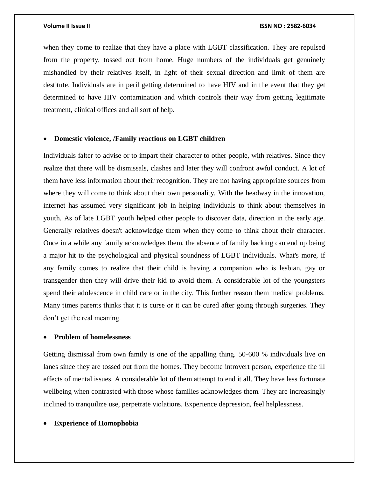when they come to realize that they have a place with LGBT classification. They are repulsed from the property, tossed out from home. Huge numbers of the individuals get genuinely mishandled by their relatives itself, in light of their sexual direction and limit of them are destitute. Individuals are in peril getting determined to have HIV and in the event that they get determined to have HIV contamination and which controls their way from getting legitimate treatment, clinical offices and all sort of help.

### **Domestic violence, /Family reactions on LGBT children**

Individuals falter to advise or to impart their character to other people, with relatives. Since they realize that there will be dismissals, clashes and later they will confront awful conduct. A lot of them have less information about their recognition. They are not having appropriate sources from where they will come to think about their own personality. With the headway in the innovation, internet has assumed very significant job in helping individuals to think about themselves in youth. As of late LGBT youth helped other people to discover data, direction in the early age. Generally relatives doesn't acknowledge them when they come to think about their character. Once in a while any family acknowledges them. the absence of family backing can end up being a major hit to the psychological and physical soundness of LGBT individuals. What's more, if any family comes to realize that their child is having a companion who is lesbian, gay or transgender then they will drive their kid to avoid them. A considerable lot of the youngsters spend their adolescence in child care or in the city. This further reason them medical problems. Many times parents thinks that it is curse or it can be cured after going through surgeries. They don't get the real meaning.

### **Problem of homelessness**

Getting dismissal from own family is one of the appalling thing. 50-600 % individuals live on lanes since they are tossed out from the homes. They become introvert person, experience the ill effects of mental issues. A considerable lot of them attempt to end it all. They have less fortunate wellbeing when contrasted with those whose families acknowledges them. They are increasingly inclined to tranquilize use, perpetrate violations. Experience depression, feel helplessness.

### **Experience of Homophobia**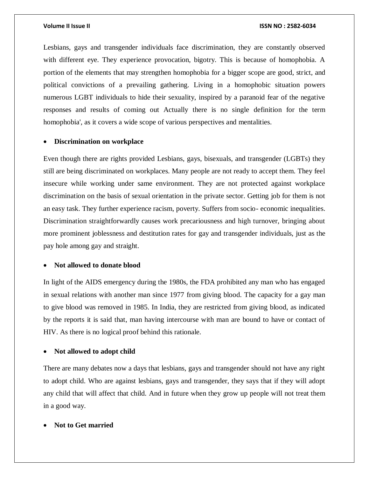Lesbians, gays and transgender individuals face discrimination, they are constantly observed with different eye. They experience provocation, bigotry. This is because of homophobia. A portion of the elements that may strengthen homophobia for a bigger scope are good, strict, and political convictions of a prevailing gathering. Living in a homophobic situation powers numerous LGBT individuals to hide their sexuality, inspired by a paranoid fear of the negative responses and results of coming out Actually there is no single definition for the term homophobia', as it covers a wide scope of various perspectives and mentalities.

### **Discrimination on workplace**

Even though there are rights provided Lesbians, gays, bisexuals, and transgender (LGBTs) they still are being discriminated on workplaces. Many people are not ready to accept them. They feel insecure while working under same environment. They are not protected against workplace discrimination on the basis of sexual orientation in the private sector. Getting job for them is not an easy task. They further experience racism, poverty. Suffers from socio- economic inequalities. Discrimination straightforwardly causes work precariousness and high turnover, bringing about more prominent joblessness and destitution rates for gay and transgender individuals, just as the pay hole among gay and straight.

### **Not allowed to donate blood**

In light of the AIDS emergency during the 1980s, the FDA prohibited any man who has engaged in sexual relations with another man since 1977 from giving blood. The capacity for a gay man to give blood was removed in 1985. In India, they are restricted from giving blood, as indicated by the reports it is said that, man having intercourse with man are bound to have or contact of HIV. As there is no logical proof behind this rationale.

### **Not allowed to adopt child**

There are many debates now a days that lesbians, gays and transgender should not have any right to adopt child. Who are against lesbians, gays and transgender, they says that if they will adopt any child that will affect that child. And in future when they grow up people will not treat them in a good way.

### **Not to Get married**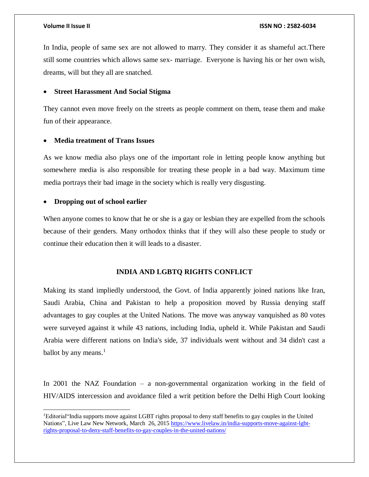In India, people of same sex are not allowed to marry. They consider it as shameful act.There still some countries which allows same sex- marriage. Everyone is having his or her own wish, dreams, will but they all are snatched.

### **Street Harassment And Social Stigma**

They cannot even move freely on the streets as people comment on them, tease them and make fun of their appearance.

### **Media treatment of Trans Issues**

As we know media also plays one of the important role in letting people know anything but somewhere media is also responsible for treating these people in a bad way. Maximum time media portrays their bad image in the society which is really very disgusting.

### **Dropping out of school earlier**

 $\overline{a}$ 

When anyone comes to know that he or she is a gay or lesbian they are expelled from the schools because of their genders. Many orthodox thinks that if they will also these people to study or continue their education then it will leads to a disaster.

### **INDIA AND LGBTQ RIGHTS CONFLICT**

Making its stand impliedly understood, the Govt. of India apparently joined nations like Iran, Saudi Arabia, China and Pakistan to help a proposition moved by Russia denying staff advantages to gay couples at the United Nations. The move was anyway vanquished as 80 votes were surveyed against it while 43 nations, including India, upheld it. While Pakistan and Saudi Arabia were different nations on India's side, 37 individuals went without and 34 didn't cast a ballot by any means.<sup>1</sup>

In 2001 the NAZ Foundation – a non-governmental organization working in the field of HIV/AIDS intercession and avoidance filed a writ petition before the Delhi High Court looking

*<sup>1</sup>*Editorial"India supports move against LGBT rights proposal to deny staff benefits to gay couples in the United Nations"*,* Live Law New Network, March 26, 201[5 https://www.livelaw.in/india-supports-move-against-lgbt](https://www.livelaw.in/india-supports-move-against-lgbt-rights-proposal-to-deny-staff-benefits-to-gay-couples-in-the-united-nations/)[rights-proposal-to-deny-staff-benefits-to-gay-couples-in-the-united-nations/](https://www.livelaw.in/india-supports-move-against-lgbt-rights-proposal-to-deny-staff-benefits-to-gay-couples-in-the-united-nations/)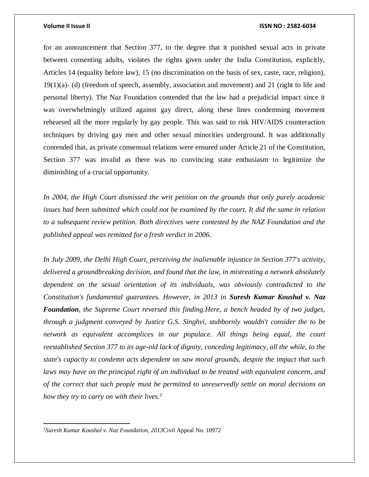for an announcement that Section 377, to the degree that it punished sexual acts in private between consenting adults, violates the rights given under the India Constitution, explicitly, Articles 14 (equality before law), 15 (no discrimination on the basis of sex, caste, race, religion), 19(1)(a)- (d) (freedom of speech, assembly, association and movement) and 21 (right to life and personal liberty). The Naz Foundation contended that the law had a prejudicial impact since it was overwhelmingly utilized against gay direct, along these lines condemning movement rehearsed all the more regularly by gay people. This was said to risk HIV/AIDS counteraction techniques by driving gay men and other sexual minorities underground. It was additionally contended that, as private consensual relations were ensured under Article 21 of the Constitution, Section 377 was invalid as there was no convincing state enthusiasm to legitimize the diminishing of a crucial opportunity.

*In 2004, the High Court dismissed the writ petition on the grounds that only purely academic issues had been submitted which could not be examined by the court. It did the same in relation to a subsequent review petition. Both directives were contested by the NAZ Foundation and the published appeal was remitted for a fresh verdict in 2006.*

*In July 2009, the Delhi High Court, perceiving the inalienable injustice in Section 377's activity, delivered a groundbreaking decision, and found that the law, in mistreating a network absolutely dependent on the sexual orientation of its individuals, was obviously contradicted to the Constitution's fundamental guarantees. However, in 2013 in Suresh Kumar Koushal v. Naz Foundation, the Supreme Court reversed this finding.Here, a bench headed by of two judges, through a judgment conveyed by Justice G.S. Singhvi, stubbornly wouldn't consider the to be network as equivalent accomplices in our populace. All things being equal, the court reestablished Section 377 to its age-old lack of dignity, conceding legitimacy, all the while, to the state's capacity to condemn acts dependent on saw moral grounds, despite the impact that such laws may have on the principal right of an individual to be treated with equivalent concern, and of the correct that such people must be permitted to unreservedly settle on moral decisions on how they try to carry on with their lives.*<sup>2</sup>

 $\overline{a}$ 

<sup>2</sup>*Suresh Kumar Koushal v. Naz Foundation, 2013*Civil Appeal No. 10972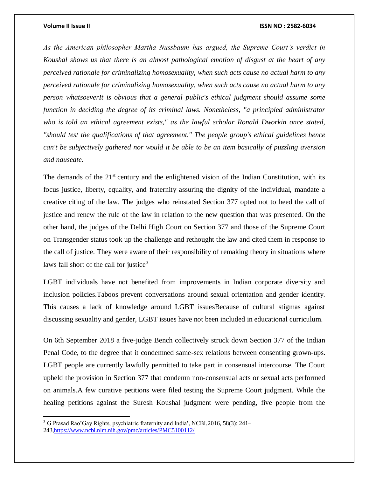$\overline{\phantom{a}}$ 

### **Volume II Issue II ISSN NO : 2582-6034**

*As the American philosopher Martha Nussbaum has argued, the Supreme Court's verdict in Koushal shows us that there is an almost pathological emotion of disgust at the heart of any perceived rationale for criminalizing homosexuality, when such acts cause no actual harm to any perceived rationale for criminalizing homosexuality, when such acts cause no actual harm to any person whatsoeverIt is obvious that a general public's ethical judgment should assume some function in deciding the degree of its criminal laws. Nonetheless, "a principled administrator who is told an ethical agreement exists," as the lawful scholar Ronald Dworkin once stated, "should test the qualifications of that agreement." The people group's ethical guidelines hence can't be subjectively gathered nor would it be able to be an item basically of puzzling aversion and nauseate.*

The demands of the  $21<sup>st</sup>$  century and the enlightened vision of the Indian Constitution, with its focus justice, liberty, equality, and fraternity assuring the dignity of the individual, mandate a creative citing of the law. The judges who reinstated Section 377 opted not to heed the call of justice and renew the rule of the law in relation to the new question that was presented. On the other hand, the judges of the Delhi High Court on Section 377 and those of the Supreme Court on Transgender status took up the challenge and rethought the law and cited them in response to the call of justice. They were aware of their responsibility of remaking theory in situations where laws fall short of the call for justice<sup>3</sup>

LGBT individuals have not benefited from improvements in Indian corporate diversity and inclusion policies.Taboos prevent conversations around sexual orientation and gender identity. This causes a lack of knowledge around LGBT issuesBecause of cultural stigmas against discussing sexuality and gender, LGBT issues have not been included in educational curriculum.

On 6th September 2018 a five-judge Bench collectively struck down Section 377 of the Indian Penal Code, to the degree that it condemned same-sex relations between consenting grown-ups. LGBT people are currently lawfully permitted to take part in consensual intercourse. The Court upheld the provision in Section 377 that condemn non-consensual acts or sexual acts performed on animals.A few curative petitions were filed testing the Supreme Court judgment. While the healing petitions against the Suresh Koushal judgment were pending, five people from the

<sup>3</sup> G Prasad Rao'Gay Rights, psychiatric fraternity and India', NCBI,2016, 58(3): 241– 24[3,https://www.ncbi.nlm.nih.gov/pmc/articles/PMC5100112/](https://www.ncbi.nlm.nih.gov/pmc/articles/PMC5100112/)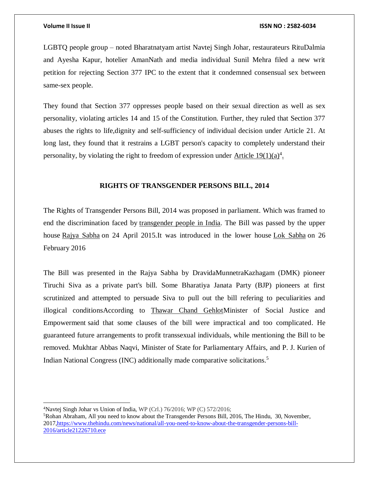LGBTQ people group – noted Bharatnatyam artist Navtej Singh Johar, restaurateurs RituDalmia and Ayesha Kapur, hotelier AmanNath and media individual Sunil Mehra filed a new writ petition for rejecting Section 377 IPC to the extent that it condemned consensual sex between same-sex people.

They found that Section 377 oppresses people based on their sexual direction as well as sex personality, violating articles 14 and 15 of the Constitution. Further, they ruled that Section 377 abuses the rights to life,dignity and self-sufficiency of individual decision under Article 21. At long last, they found that it restrains a LGBT person's capacity to completely understand their personality, by violating the right to freedom of expression under  $\Delta$ rticle 19(1)(a)<sup>4</sup>.

### **RIGHTS OF TRANSGENDER PERSONS BILL, 2014**

The Rights of Transgender Persons Bill, 2014 was proposed in parliament. Which was framed to end the discrimination faced by [transgender people in India.](https://en.wikipedia.org/wiki/LGBT_rights_in_India) The Bill was passed by the upper house [Rajya Sabha](https://en.wikipedia.org/wiki/Rajya_Sabha) on 24 April 2015.It was introduced in the lower house [Lok Sabha](https://en.wikipedia.org/wiki/Lok_Sabha) on 26 February 2016

The Bill was presented in the Rajya Sabha by DravidaMunnetraKazhagam (DMK) pioneer Tiruchi Siva as a private part's bill. Some Bharatiya Janata Party (BJP) pioneers at first scrutinized and attempted to persuade Siva to pull out the bill refering to peculiarities and illogical conditionsAccording to [Thawar Chand GehlotM](https://en.wikipedia.org/wiki/Thawar_Chand_Gehlot)inister of Social Justice and Empowerment said that some clauses of the bill were impractical and too complicated. He guaranteed future arrangements to profit transsexual individuals, while mentioning the Bill to be removed. Mukhtar Abbas Naqvi, Minister of State for Parliamentary Affairs, and P. J. Kurien of Indian National Congress (INC) additionally made comparative solicitations. 5

 $\overline{a}$ 

<sup>&</sup>lt;sup>4</sup>Navtej Singh Johar vs Union of India, WP (Crl.)  $76/2016$ ; WP (C)  $572/2016$ ;

<sup>5</sup>Rohan Abraham, All you need to know about the Transgender Persons Bill, 2016, The Hindu, 30, November, 201[7,https://www.thehindu.com/news/national/all-you-need-to-know-about-the-transgender-persons-bill-](https://www.thehindu.com/news/national/all-you-need-to-know-about-the-transgender-persons-bill-2016/article21226710.ece)[2016/article21226710.ece](https://www.thehindu.com/news/national/all-you-need-to-know-about-the-transgender-persons-bill-2016/article21226710.ece)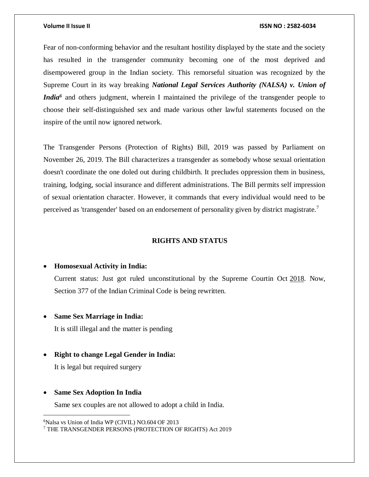Fear of non-conforming behavior and the resultant hostility displayed by the state and the society has resulted in the transgender community becoming one of the most deprived and disempowered group in the Indian society. This remorseful situation was recognized by the Supreme Court in its way breaking *National Legal Services Authority (NALSA) v. Union of India*<sup>6</sup> and others judgment, wherein I maintained the privilege of the transgender people to choose their self-distinguished sex and made various other lawful statements focused on the inspire of the until now ignored network.

The Transgender Persons (Protection of Rights) Bill, 2019 was passed by Parliament on November 26, 2019. The Bill characterizes a transgender as somebody whose sexual orientation doesn't coordinate the one doled out during childbirth. It precludes oppression them in business, training, lodging, social insurance and different administrations. The Bill permits self impression of sexual orientation character. However, it commands that every individual would need to be perceived as 'transgender' based on an endorsement of personality given by district magistrate.<sup>7</sup>

### **RIGHTS AND STATUS**

### **Homosexual Activity in India:**

Current status: Just got ruled unconstitutional by the Supreme Courtin Oct [2018.](https://www.equaldex.com/timeline/2018) Now, Section 377 of the Indian Criminal Code is being rewritten.

### **Same Sex Marriage in India:**

It is still illegal and the matter is pending

### **Right to change Legal Gender in India:**

It is legal but required surgery

### **Same Sex Adoption In India**

 $\overline{a}$ 

Same sex couples are not allowed to adopt a child in India.

<sup>&</sup>lt;sup>6</sup>Nalsa vs Union of India WP (CIVIL) NO.604 OF 2013

<sup>7</sup> THE TRANSGENDER PERSONS (PROTECTION OF RIGHTS) Act 2019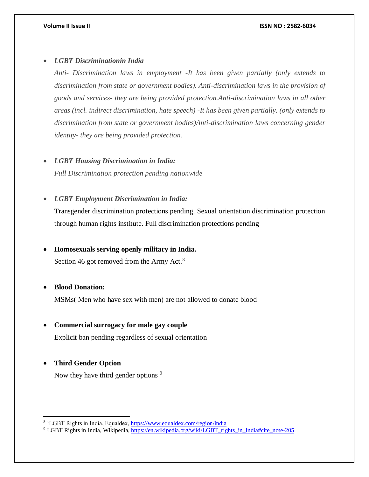### *LGBT Discriminationin India*

*Anti- Discrimination laws in employment -It has been given partially (only extends to discrimination from state or government bodies). Anti-discrimination laws in the provision of goods and services- they are being provided protection.Anti-discrimination laws in all other areas (incl. indirect discrimination, hate speech) -It has been given partially. (only extends to discrimination from state or government bodies)Anti-discrimination laws concerning gender identity- they are being provided protection.*

*LGBT Housing Discrimination in India:*

*Full Discrimination protection pending nationwide*

*LGBT Employment Discrimination in India:*

Transgender discrimination protections pending. Sexual orientation discrimination protection through human rights institute. Full discrimination protections pending

### **Homosexuals serving openly military in India.**

Section 46 got removed from the Army Act.<sup>8</sup>

### **Blood Donation:**

MSMs( Men who have sex with men) are not allowed to donate blood

### **Commercial surrogacy for male gay couple**

Explicit ban pending regardless of sexual orientation

### **Third Gender Option**

 $\overline{\phantom{a}}$ 

Now they have third gender options<sup>9</sup>

<sup>&</sup>lt;sup>8</sup> 'LGBT Rights in India, Equaldex,<https://www.equaldex.com/region/india>

<sup>&</sup>lt;sup>9</sup> LGBT Rights in India, Wikipedia[, https://en.wikipedia.org/wiki/LGBT\\_rights\\_in\\_India#cite\\_note-205](https://en.wikipedia.org/wiki/LGBT_rights_in_India#cite_note-205)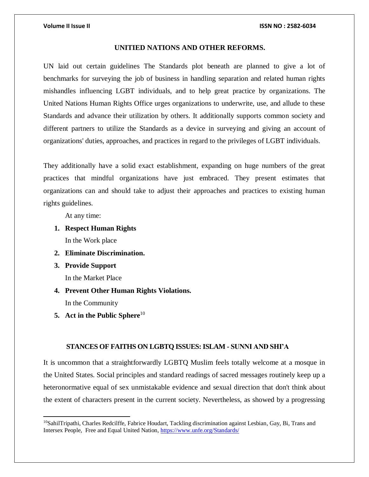### **UNITIED NATIONS AND OTHER REFORMS.**

UN laid out certain guidelines The Standards plot beneath are planned to give a lot of benchmarks for surveying the job of business in handling separation and related human rights mishandles influencing LGBT individuals, and to help great practice by organizations. The United Nations Human Rights Office urges organizations to underwrite, use, and allude to these Standards and advance their utilization by others. It additionally supports common society and different partners to utilize the Standards as a device in surveying and giving an account of organizations' duties, approaches, and practices in regard to the privileges of LGBT individuals.

They additionally have a solid exact establishment, expanding on huge numbers of the great practices that mindful organizations have just embraced. They present estimates that organizations can and should take to adjust their approaches and practices to existing human rights guidelines.

At any time:

- **1. Respect Human Rights** In the Work place
- **2. Eliminate Discrimination.**
- **3. Provide Support**

 $\overline{\phantom{a}}$ 

In the Market Place

- **4. Prevent Other Human Rights Violations.**  In the Community
- **5. Act in the Public Sphere**<sup>10</sup>

### **STANCES OF FAITHS ON LGBTQ ISSUES: ISLAM - SUNNI AND SHI'A**

It is uncommon that a straightforwardly LGBTQ Muslim feels totally welcome at a mosque in the United States. Social principles and standard readings of sacred messages routinely keep up a heteronormative equal of sex unmistakable evidence and sexual direction that don't think about the extent of characters present in the current society. Nevertheless, as showed by a progressing

 $10$ SahilTripathi, Charles Redcilffe, Fabrice Houdart, Tackling discrimination against Lesbian, Gay, Bi, Trans and Intersex People, Free and Equal United Nation,<https://www.unfe.org/Standards/>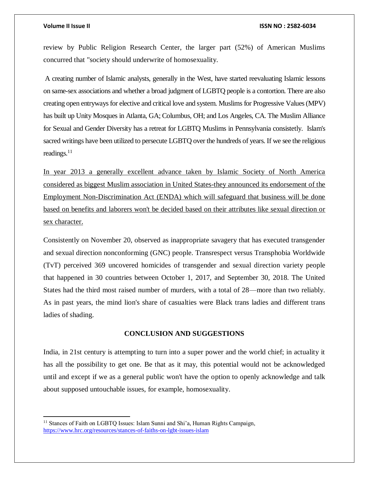$\overline{\phantom{a}}$ 

### **Volume II Issue II ISSN NO : 2582-6034**

review by Public Religion Research Center, the larger part (52%) of American Muslims concurred that "society should underwrite of homosexuality.

A creating number of Islamic analysts, generally in the West, have started reevaluating Islamic lessons on same-sex associations and whether a broad judgment of LGBTQ people is a contortion. There are also creating open entryways for elective and critical love and system. Muslims for Progressive Values (MPV) has built up Unity Mosques in Atlanta, GA; Columbus, OH; and Los Angeles, CA. The Muslim Alliance for Sexual and Gender Diversity has a retreat for LGBTQ Muslims in Pennsylvania consistetly. Islam's sacred writings have been utilized to persecute LGBTQ over the hundreds of years. If we see the religious readings.<sup>11</sup>

In year 2013 a generally excellent advance taken by Islamic Society of North America considered as biggest Muslim association in United States-they announced its endorsement of the Employment Non-Discrimination Act (ENDA) which will safeguard that business will be done based on benefits and laborers won't be decided based on their attributes like sexual direction or sex character.

Consistently on November 20, observed as inappropriate savagery that has executed transgender and sexual direction nonconforming (GNC) people. Transrespect versus Transphobia Worldwide (TvT) perceived 369 uncovered homicides of transgender and sexual direction variety people that happened in 30 countries between October 1, 2017, and September 30, 2018. The United States had the third most raised number of murders, with a total of 28—more than two reliably. As in past years, the mind lion's share of casualties were Black trans ladies and different trans ladies of shading.

### **CONCLUSION AND SUGGESTIONS**

India, in 21st century is attempting to turn into a super power and the world chief; in actuality it has all the possibility to get one. Be that as it may, this potential would not be acknowledged until and except if we as a general public won't have the option to openly acknowledge and talk about supposed untouchable issues, for example, homosexuality.

<sup>&</sup>lt;sup>11</sup> Stances of Faith on LGBTQ Issues: Islam Sunni and Shi'a, Human Rights Campaign, <https://www.hrc.org/resources/stances-of-faiths-on-lgbt-issues-islam>